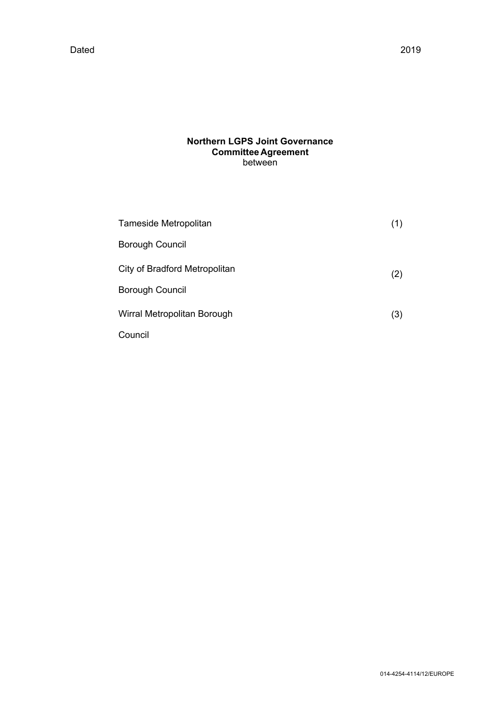# **Northern LGPS Joint Governance Committee Agreement** between

| Tameside Metropolitan         |     |
|-------------------------------|-----|
| <b>Borough Council</b>        |     |
| City of Bradford Metropolitan | (2) |
| <b>Borough Council</b>        |     |
| Wirral Metropolitan Borough   | (3) |
| Council                       |     |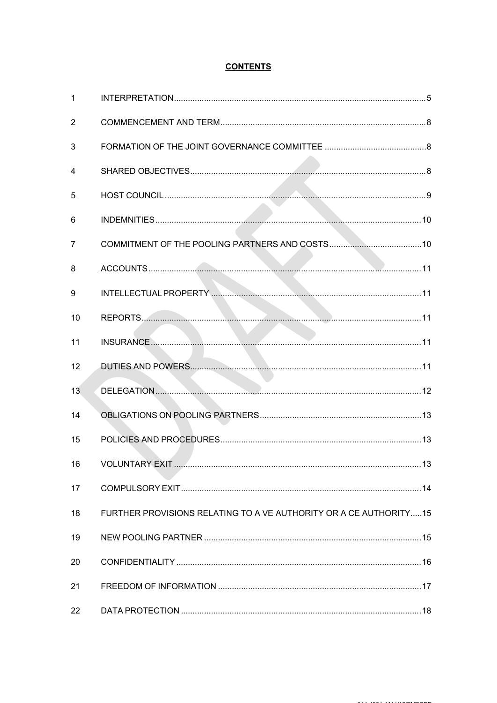# **CONTENTS**

| $\mathbf{1}$   |                                                                   |    |
|----------------|-------------------------------------------------------------------|----|
| 2              |                                                                   |    |
| 3              |                                                                   |    |
| 4              |                                                                   |    |
| 5              |                                                                   |    |
| 6              |                                                                   |    |
| $\overline{7}$ |                                                                   |    |
| 8              |                                                                   |    |
| 9              |                                                                   |    |
| 10             |                                                                   |    |
| 11             |                                                                   |    |
| 12             |                                                                   |    |
| 13             |                                                                   |    |
| 14             |                                                                   |    |
| 15             |                                                                   |    |
| 16             | <b>VOLUNTARY EXIT.</b>                                            | 13 |
| 17             |                                                                   |    |
| 18             | FURTHER PROVISIONS RELATING TO A VE AUTHORITY OR A CE AUTHORITY15 |    |
| 19             |                                                                   |    |
| 20             |                                                                   |    |
| 21             |                                                                   |    |
| 22             |                                                                   |    |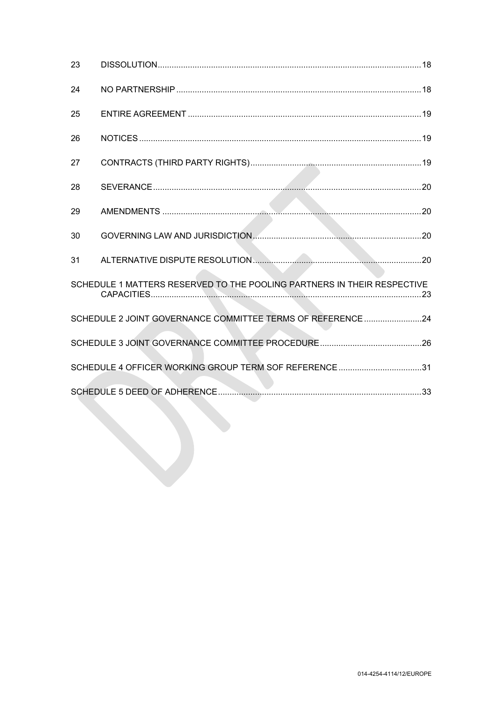| 23 |                                                                         |  |
|----|-------------------------------------------------------------------------|--|
| 24 |                                                                         |  |
| 25 |                                                                         |  |
| 26 |                                                                         |  |
| 27 |                                                                         |  |
| 28 |                                                                         |  |
| 29 |                                                                         |  |
| 30 |                                                                         |  |
| 31 |                                                                         |  |
|    | SCHEDULE 1 MATTERS RESERVED TO THE POOLING PARTNERS IN THEIR RESPECTIVE |  |
|    | SCHEDULE 2 JOINT GOVERNANCE COMMITTEE TERMS OF REFERENCE 24             |  |
|    |                                                                         |  |
|    | SCHEDULE 4 OFFICER WORKING GROUP TERM SOF REFERENCE 31                  |  |
|    |                                                                         |  |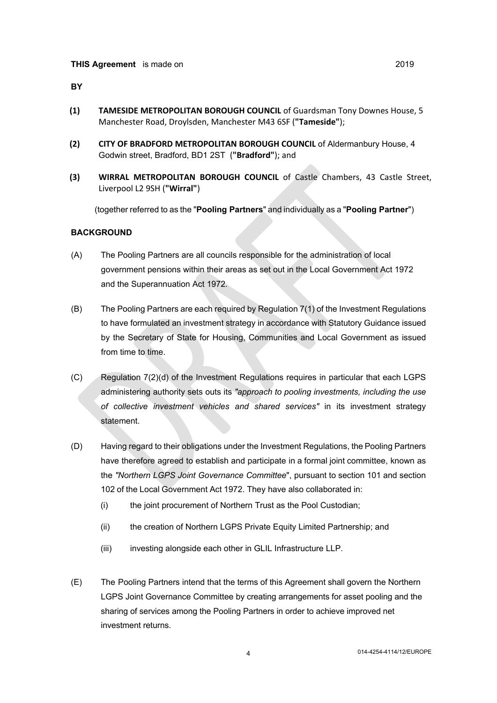#### **BY**

- **(1) TAMESIDE METROPOLITAN BOROUGH COUNCIL** of Guardsman Tony Downes House, 5 Manchester Road, Droylsden, Manchester M43 6SF (**"Tameside"**);
- **(2) CITY OF BRADFORD METROPOLITAN BOROUGH COUNCIL** of Aldermanbury House, 4 Godwin street, Bradford, BD1 2ST (**"Bradford"**); and
- **(3) WIRRAL METROPOLITAN BOROUGH COUNCIL** of Castle Chambers, 43 Castle Street, Liverpool L2 9SH (**"Wirral"**)

(together referred to as the "**Pooling Partners**" and individually asa "**Pooling Partner**")

#### **BACKGROUND**

- (A) The Pooling Partners are all councils responsible for the administration of local government pensions within their areas as set out in the Local Government Act 1972 and the Superannuation Act 1972.
- (B) The Pooling Partners are each required by Regulation 7(1) of the Investment Regulations to have formulated an investment strategy in accordance with Statutory Guidance issued by the Secretary of State for Housing, Communities and Local Government as issued from time to time.
- (C) Regulation 7(2)(d) of the Investment Regulations requires in particular that each LGPS administering authority sets outs its *"approach to pooling investments, including the use of collective investment vehicles and shared services"* in its investment strategy statement.
- (D) Having regard to their obligations under the Investment Regulations, the Pooling Partners have therefore agreed to establish and participate in a formal joint committee, known as the *"Northern LGPS Joint Governance Committee*", pursuant to section 101 and section 102 of the Local Government Act 1972. They have also collaborated in:
	- (i) the joint procurement of Northern Trust as the Pool Custodian;
	- (ii) the creation of Northern LGPS Private Equity Limited Partnership; and
	- (iii) investing alongside each other in GLIL Infrastructure LLP.
- (E) The Pooling Partners intend that the terms of this Agreement shall govern the Northern LGPS Joint Governance Committee by creating arrangements for asset pooling and the sharing of services among the Pooling Partners in order to achieve improved net investment returns.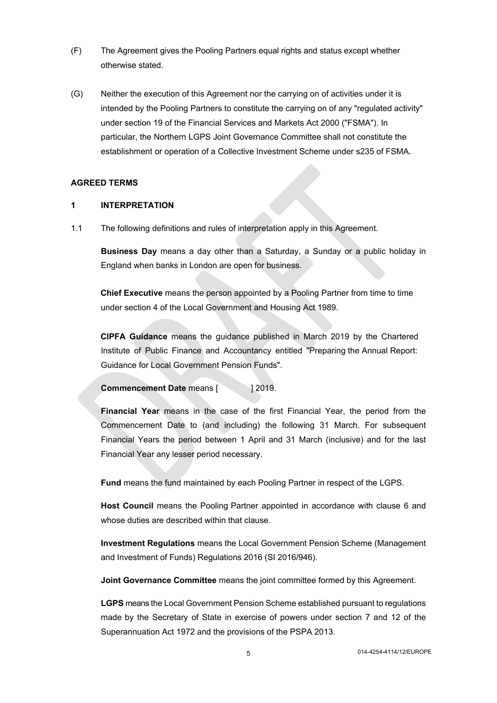- (F) The Agreement gives the Pooling Partners equal rights and status except whether otherwise stated.
- (G) Neither the execution of this Agreement nor the carrying on of activities under it is intended by the Pooling Partners to constitute the carrying on of any "regulated activity" under section 19 of the Financial Services and Markets Act 2000 ("FSMA"). In particular, the Northern LGPS Joint Governance Committee shall not constitute the establishment or operation of a Collective Investment Scheme under s235 of FSMA.

#### **AGREED TERMS**

### <span id="page-4-0"></span>**1 INTERPRETATION**

1.1 The following definitions and rules of interpretation apply in this Agreement.

**Business Day** means a day other than a Saturday, a Sunday or a public holiday in England when banks in London are open for business.

**Chief Executive** means the person appointed by a Pooling Partner from time to time under section 4 of the Local Government and Housing Act 1989.

**CIPFA Guidance** means the guidance published in March 2019 by the Chartered Institute of Public Finance and Accountancy entitled "Preparing the Annual Report: Guidance for Local Government Pension Funds".

**Commencement Date** means [  $\qquad$  | 2019.

**Financial Year** means in the case of the first Financial Year, the period from the Commencement Date to (and including) the following 31 March. For subsequent Financial Years the period between 1 April and 31 March (inclusive) and for the last Financial Year any lesser period necessary.

**Fund** means the fund maintained by each Pooling Partner in respect of the LGPS.

**Host Council** means the Pooling Partner appointed in accordance with clause [6](#page-9-2) and whose duties are described within that clause.

**Investment Regulations** means the Local Government Pension Scheme (Management and Investment of Funds) Regulations 2016 (SI 2016/946).

**Joint Governance Committee** means the joint committee formed by this Agreement.

**LGPS** means the Local Government Pension Scheme established pursuant to regulations made by the Secretary of State in exercise of powers under section 7 and 12 of the Superannuation Act 1972 and the provisions of the PSPA 2013.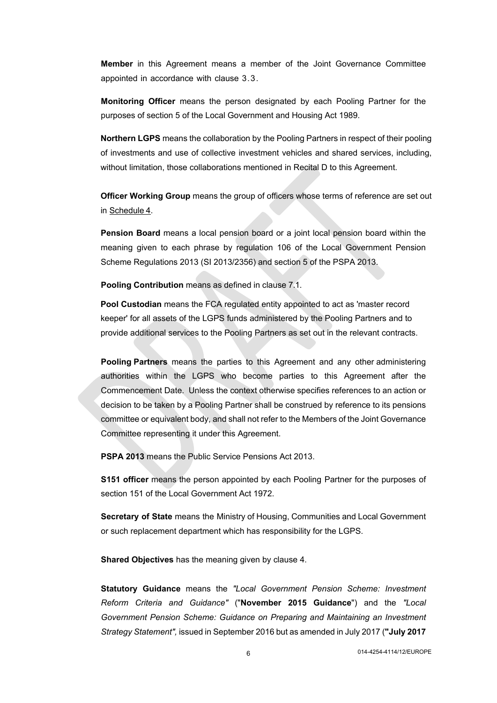**Member** in this Agreement means a member of the Joint Governance Committee appointed in accordance with clause [3.3.](#page-7-3)

**Monitoring Officer** means the person designated by each Pooling Partner for the purposes of section 5 of the Local Government and Housing Act 1989.

**Northern LGPS** means the collaboration by the Pooling Partners in respect of their pooling of investments and use of collective investment vehicles and shared services, including, without limitation, those collaborations mentioned in Recital D to this Agreement.

**Officer Working Group** means the group of officers whose terms of reference are set out in [Schedule](#page-30-0) 4.

**Pension Board** means a local pension board or a joint local pension board within the meaning given to each phrase by regulation 106 of the Local Government Pension Scheme Regulations 2013 (SI 2013/2356) and section 5 of the PSPA 2013.

**Pooling Contribution** means as defined in clause [7.1](#page-9-3).

**Pool Custodian** means the FCA regulated entity appointed to act as 'master record keeper' for all assets of the LGPS funds administered by the Pooling Partners and to provide additional services to the Pooling Partners as set out in the relevant contracts.

**Pooling Partners** means the parties to this Agreement and any other administering authorities within the LGPS who become parties to this Agreement after the Commencement Date. Unless the context otherwise specifies references to an action or decision to be taken by a Pooling Partner shall be construed by reference to its pensions committee or equivalent body, and shall not refer to the Members of the Joint Governance Committee representing it under this Agreement.

**PSPA 2013** means the Public Service Pensions Act 2013.

**S151 officer** means the person appointed by each Pooling Partner for the purposes of section 151 of the Local Government Act 1972.

**Secretary of State** means the Ministry of Housing, Communities and Local Government or such replacement department which has responsibility for the LGPS.

**Shared Objectives** has the meaning given by clause [4.](#page-7-4)

**Statutory Guidance** means the *"Local Government Pension Scheme: Investment Reform Criteria and Guidance"* ("**November 2015 Guidance**") and the *"Local Government Pension Scheme: Guidance on Preparing and Maintaining an Investment Strategy Statement",* issued in September 2016 but as amended in July 2017 (**"July 2017**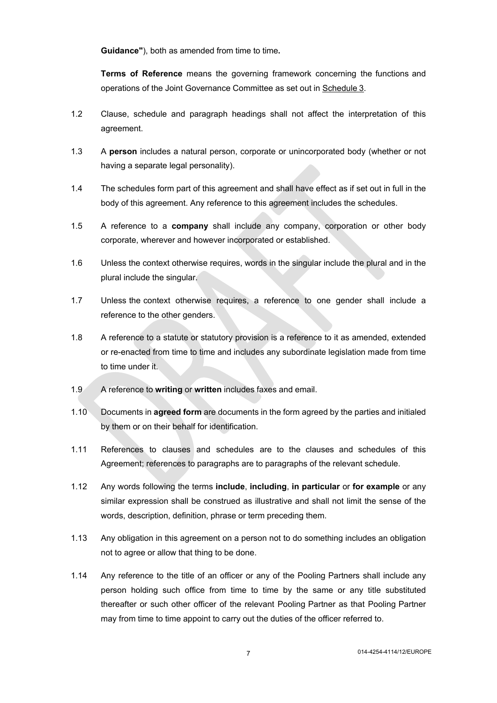**Guidance"**), both as amended from time to time**.**

**Terms of Reference** means the governing framework concerning the functions and operations of the Joint Governance Committee as set out in [Schedule](#page-25-0) 3.

- 1.2 Clause, schedule and paragraph headings shall not affect the interpretation of this agreement.
- 1.3 A **person** includes a natural person, corporate or unincorporated body (whether or not having a separate legal personality).
- 1.4 The schedules form part of this agreement and shall have effect as if set out in full in the body of this agreement. Any reference to this agreement includes the schedules.
- 1.5 A reference to a **company** shall include any company, corporation or other body corporate, wherever and however incorporated or established.
- 1.6 Unless the context otherwise requires, words in the singular include the plural and in the plural include the singular.
- 1.7 Unless the context otherwise requires, a reference to one gender shall include a reference to the other genders.
- 1.8 A reference to a statute or statutory provision is a reference to it as amended, extended or re-enacted from time to time and includes any subordinate legislation made from time to time under it.
- 1.9 A reference to **writing** or **written** includes faxes and email.
- 1.10 Documents in **agreed form** are documents in the form agreed by the parties and initialed by them or on their behalf for identification.
- 1.11 References to clauses and schedules are to the clauses and schedules of this Agreement; references to paragraphs are to paragraphs of the relevant schedule.
- 1.12 Any words following the terms **include**, **including**, **in particular** or **for example** or any similar expression shall be construed as illustrative and shall not limit the sense of the words, description, definition, phrase or term preceding them.
- 1.13 Any obligation in this agreement on a person not to do something includes an obligation not to agree or allow that thing to be done.
- 1.14 Any reference to the title of an officer or any of the Pooling Partners shall include any person holding such office from time to time by the same or any title substituted thereafter or such other officer of the relevant Pooling Partner as that Pooling Partner may from time to time appoint to carry out the duties of the officer referred to.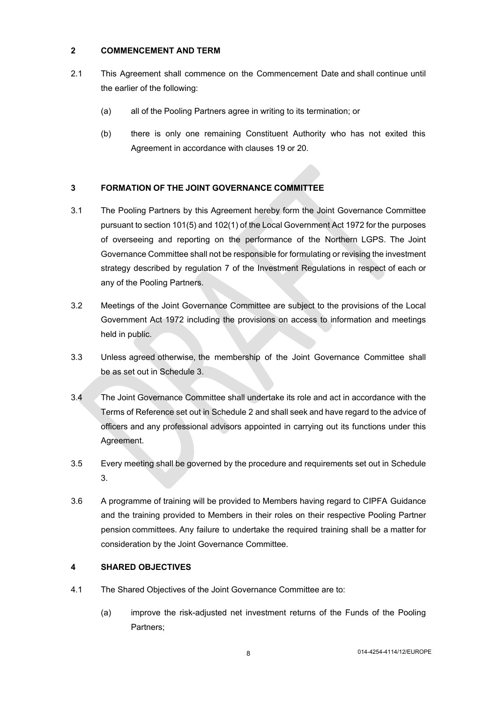## <span id="page-7-0"></span>**2 COMMENCEMENT AND TERM**

- 2.1 This Agreement shall commence on the Commencement Date and shall continue until the earlier of the following:
	- (a) all of the Pooling Partners agree in writing to its termination; or
	- (b) there is only one remaining Constituent Authority who has not exited this Agreement in accordance with clauses [19](#page-14-2) or [20](#page-15-1).

# <span id="page-7-1"></span>**3 FORMATION OF THE JOINT GOVERNANCE COMMITTEE**

- 3.1 The Pooling Partners by this Agreement hereby form the Joint Governance Committee pursuant to section 101(5) and 102(1) of the Local Government Act 1972 for the purposes of overseeing and reporting on the performance of the Northern LGPS. The Joint Governance Committee shall not be responsible for formulating or revising the investment strategy described by regulation 7 of the Investment Regulations in respect of each or any of the Pooling Partners.
- 3.2 Meetings of the Joint Governance Committee are subject to the provisions of the Local Government Act 1972 including the provisions on access to information and meetings held in public.
- <span id="page-7-6"></span><span id="page-7-3"></span>3.3 Unless agreed otherwise, the membership of the Joint Governance Committee shall be as set out in Schedule 3.
- <span id="page-7-7"></span>3.4 The Joint Governance Committee shall undertake its role and act in accordance with the Terms of Reference set out in [Schedule](#page-24-0) 2 and shall seek and have regard to the advice of officers and any professional advisors appointed in carrying out its functions under this Agreement.
- 3.5 Every meeting shall be governed by the procedure and requirements set out in Schedule 3.
- <span id="page-7-5"></span>3.6 A programme of training will be provided to Members having regard to CIPFA Guidance and the training provided to Members in their roles on their respective Pooling Partner pension committees. Any failure to undertake the required training shall be a matter for consideration by the Joint Governance Committee.

## <span id="page-7-4"></span><span id="page-7-2"></span>**4 SHARED OBJECTIVES**

- 4.1 The Shared Objectives of the Joint Governance Committee are to:
	- (a) improve the risk-adjusted net investment returns of the Funds of the Pooling Partners;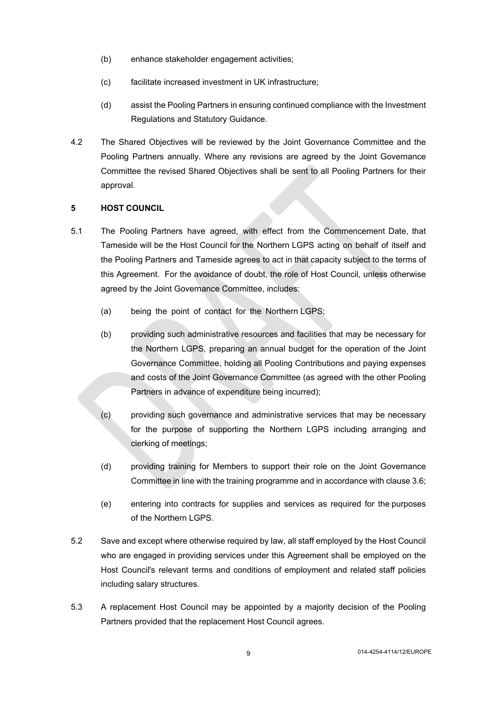- (b) enhance stakeholder engagement activities;
- (c) facilitate increased investment in UK infrastructure;
- (d) assist the Pooling Partners in ensuring continued compliance with the Investment Regulations and Statutory Guidance.
- 4.2 The Shared Objectives will be reviewed by the Joint Governance Committee and the Pooling Partners annually. Where any revisions are agreed by the Joint Governance Committee the revised Shared Objectives shall be sent to all Pooling Partners for their approval.

## <span id="page-8-0"></span>**5 HOST COUNCIL**

- 5.1 The Pooling Partners have agreed, with effect from the Commencement Date, that Tameside will be the Host Council for the Northern LGPS acting on behalf of itself and the Pooling Partners and Tameside agrees to act in that capacity subject to the terms of this Agreement. For the avoidance of doubt, the role of Host Council, unless otherwise agreed by the Joint Governance Committee, includes:
	- (a) being the point of contact for the Northern LGPS;
	- (b) providing such administrative resources and facilities that may be necessary for the Northern LGPS, preparing an annual budget for the operation of the Joint Governance Committee, holding all Pooling Contributions and paying expenses and costs of the Joint Governance Committee (as agreed with the other Pooling Partners in advance of expenditure being incurred);
	- (c) providing such governance and administrative services that may be necessary for the purpose of supporting the Northern LGPS including arranging and clerking of meetings;
	- (d) providing training for Members to support their role on the Joint Governance Committee in line with the training programme and in accordance with clause [3.6;](#page-7-5)
	- (e) entering into contracts for supplies and services as required for the purposes of the Northern LGPS.
- 5.2 Save and except where otherwise required by law, all staff employed by the Host Council who are engaged in providing services under this Agreement shall be employed on the Host Council's relevant terms and conditions of employment and related staff policies including salary structures.
- 5.3 A replacement Host Council may be appointed by a majority decision of the Pooling Partners provided that the replacement Host Council agrees.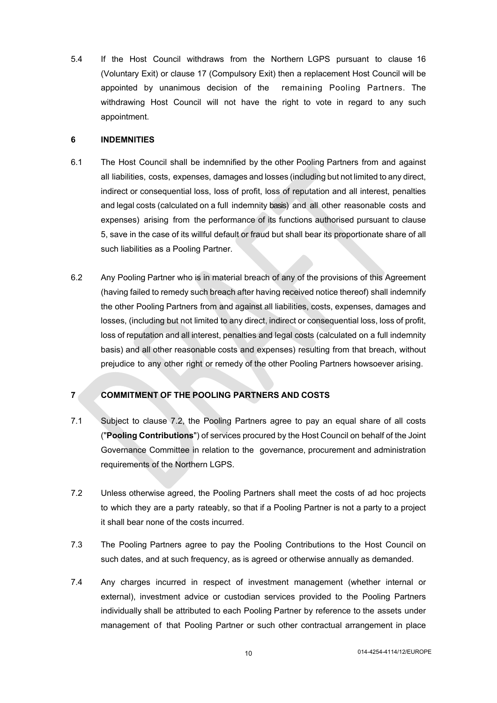5.4 If the Host Council withdraws from the Northern LGPS pursuant to clause [16](#page-12-3) (Voluntary Exit) or clause [17](#page-13-1) [\(](#page-13-1)Compulsory Exit) then a replacement Host Council will be appointed by unanimous decision of the remaining Pooling Partners. The withdrawing Host Council will not have the right to vote in regard to any such appointment.

#### <span id="page-9-2"></span><span id="page-9-0"></span>**6 INDEMNITIES**

- 6.1 The Host Council shall be indemnified by the other Pooling Partners from and against all liabilities, costs, expenses, damages and losses (including but not limited to any direct, indirect or consequential loss, loss of profit, loss of reputation and all interest, penalties and legal costs (calculated on a full indemnity basis) and all other reasonable costs and expenses) arising from the performance of its functions authorised pursuant to clause 5, save in the case of its willful default or fraud but shall bear its proportionate share of all such liabilities as a Pooling Partner.
- 6.2 Any Pooling Partner who is in material breach of any of the provisions of this Agreement (having failed to remedy such breach after having received notice thereof) shall indemnify the other Pooling Partners from and against all liabilities, costs, expenses, damages and losses, (including but not limited to any direct, indirect or consequential loss, loss of profit, loss of reputation and all interest, penalties and legal costs (calculated on a full indemnity basis) and all other reasonable costs and expenses) resulting from that breach, without prejudice to any other right or remedy of the other Pooling Partners howsoever arising.

## <span id="page-9-1"></span>**7 COMMITMENT OF THE POOLING PARTNERS AND COSTS**

- <span id="page-9-3"></span>7.1 Subject to clause [7.2,](#page-9-4) the Pooling Partners agree to pay an equal share of all costs ("**Pooling Contributions**") of services procured by the Host Council on behalf of the Joint Governance Committee in relation to the governance, procurement and administration requirements of the Northern LGPS.
- <span id="page-9-4"></span>7.2 Unless otherwise agreed, the Pooling Partners shall meet the costs of ad hoc projects to which they are a party rateably, so that if a Pooling Partner is not a party to a project it shall bear none of the costs incurred.
- 7.3 The Pooling Partners agree to pay the Pooling Contributions to the Host Council on such dates, and at such frequency, as is agreed or otherwise annually as demanded.
- 7.4 Any charges incurred in respect of investment management (whether internal or external), investment advice or custodian services provided to the Pooling Partners individually shall be attributed to each Pooling Partner by reference to the assets under management of that Pooling Partner or such other contractual arrangement in place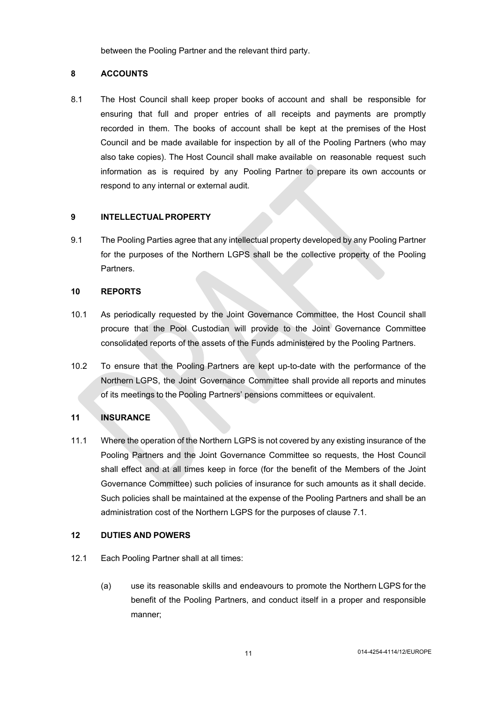<span id="page-10-0"></span>between the Pooling Partner and the relevant third party.

#### **8 ACCOUNTS**

8.1 The Host Council shall keep proper books of account and shall be responsible for ensuring that full and proper entries of all receipts and payments are promptly recorded in them. The books of account shall be kept at the premises of the Host Council and be made available for inspection by all of the Pooling Partners (who may also take copies). The Host Council shall make available on reasonable request such information as is required by any Pooling Partner to prepare its own accounts or respond to any internal or external audit.

#### <span id="page-10-1"></span>**9 INTELLECTUALPROPERTY**

9.1 The Pooling Parties agree that any intellectual property developed by any Pooling Partner for the purposes of the Northern LGPS shall be the collective property of the Pooling Partners.

#### <span id="page-10-2"></span>**10 REPORTS**

- 10.1 As periodically requested by the Joint Governance Committee, the Host Council shall procure that the Pool Custodian will provide to the Joint Governance Committee consolidated reports of the assets of the Funds administered by the Pooling Partners.
- 10.2 To ensure that the Pooling Partners are kept up-to-date with the performance of the Northern LGPS, the Joint Governance Committee shall provide all reports and minutes of its meetings to the Pooling Partners' pensions committees or equivalent.

### <span id="page-10-3"></span>**11 INSURANCE**

11.1 Where the operation of the Northern LGPS is not covered by any existing insurance of the Pooling Partners and the Joint Governance Committee so requests, the Host Council shall effect and at all times keep in force (for the benefit of the Members of the Joint Governance Committee) such policies of insurance for such amounts as it shall decide. Such policies shall be maintained at the expense of the Pooling Partners and shall be an administration cost of the Northern LGPS for the purposes of clause [7.1.](#page-9-3)

## <span id="page-10-4"></span>**12 DUTIES AND POWERS**

- 12.1 Each Pooling Partner shall at all times:
	- (a) use its reasonable skills and endeavours to promote the Northern LGPS for the benefit of the Pooling Partners, and conduct itself in a proper and responsible manner;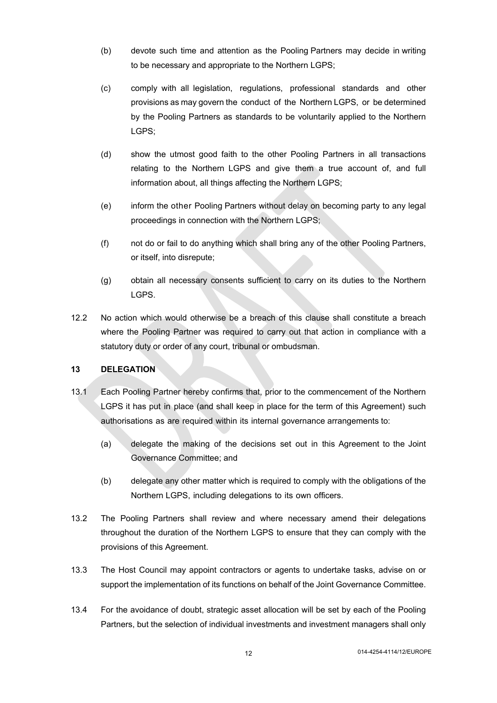- (b) devote such time and attention as the Pooling Partners may decide in writing to be necessary and appropriate to the Northern LGPS;
- (c) comply with all legislation, regulations, professional standards and other provisions as may govern the conduct of the Northern LGPS, or be determined by the Pooling Partners as standards to be voluntarily applied to the Northern LGPS;
- (d) show the utmost good faith to the other Pooling Partners in all transactions relating to the Northern LGPS and give them a true account of, and full information about, all things affecting the Northern LGPS;
- (e) inform the other Pooling Partners without delay on becoming party to any legal proceedings in connection with the Northern LGPS;
- (f) not do or fail to do anything which shall bring any of the other Pooling Partners, or itself, into disrepute;
- (g) obtain all necessary consents sufficient to carry on its duties to the Northern LGPS.
- 12.2 No action which would otherwise be a breach of this clause shall constitute a breach where the Pooling Partner was required to carry out that action in compliance with a statutory duty or order of any court, tribunal or ombudsman.

### <span id="page-11-0"></span>**13 DELEGATION**

- 13.1 Each Pooling Partner hereby confirms that, prior to the commencement of the Northern LGPS it has put in place (and shall keep in place for the term of this Agreement) such authorisations as are required within its internal governance arrangements to:
	- (a) delegate the making of the decisions set out in this Agreement to the Joint Governance Committee; and
	- (b) delegate any other matter which is required to comply with the obligations of the Northern LGPS, including delegations to its own officers.
- 13.2 The Pooling Partners shall review and where necessary amend their delegations throughout the duration of the Northern LGPS to ensure that they can comply with the provisions of this Agreement.
- 13.3 The Host Council may appoint contractors or agents to undertake tasks, advise on or support the implementation of its functions on behalf of the Joint Governance Committee.
- 13.4 For the avoidance of doubt, strategic asset allocation will be set by each of the Pooling Partners, but the selection of individual investments and investment managers shall only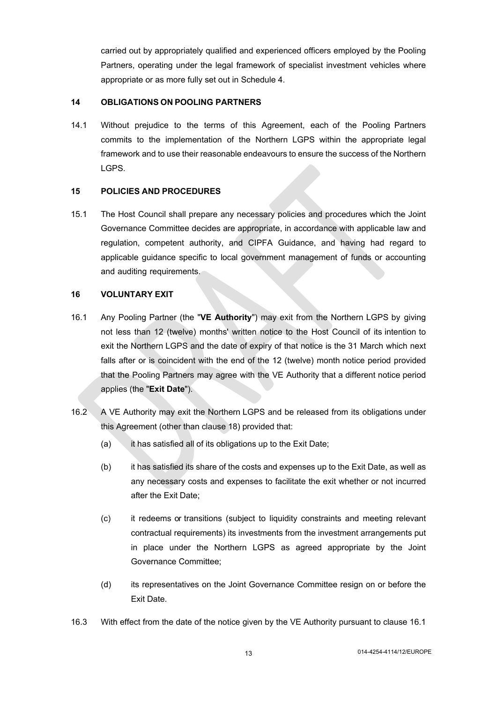<span id="page-12-0"></span>carried out by appropriately qualified and experienced officers employed by the Pooling Partners, operating under the legal framework of specialist investment vehicles where appropriate or as more fully set out in Schedule 4.

### **14 OBLIGATIONS ON POOLING PARTNERS**

14.1 Without prejudice to the terms of this Agreement, each of the Pooling Partners commits to the implementation of the Northern LGPS within the appropriate legal framework and to use their reasonable endeavours to ensure the success of the Northern LGPS.

### <span id="page-12-1"></span>**15 POLICIES AND PROCEDURES**

15.1 The Host Council shall prepare any necessary policies and procedures which the Joint Governance Committee decides are appropriate, in accordance with applicable law and regulation, competent authority, and CIPFA Guidance, and having had regard to applicable guidance specific to local government management of funds or accounting and auditing requirements.

## <span id="page-12-3"></span><span id="page-12-2"></span>**16 VOLUNTARY EXIT**

- <span id="page-12-4"></span>16.1 Any Pooling Partner (the "**VE Authority**") may exit from the Northern LGPS by giving not less than 12 (twelve) months' written notice to the Host Council of its intention to exit the Northern LGPS and the date of expiry of that notice is the 31 March which next falls after or is coincident with the end of the 12 (twelve) month notice period provided that the Pooling Partners may agree with the VE Authority that a different notice period applies (the "**Exit Date**").
- 16.2 A VE Authority may exit the Northern LGPS and be released from its obligations under this Agreement (other than clause [18](#page-14-3)) provided that:
	- (a) it has satisfied all of its obligations up to the Exit Date;
	- (b) it has satisfied its share of the costs and expenses up to the Exit Date, as well as any necessary costs and expenses to facilitate the exit whether or not incurred after the Exit Date;
	- (c) it redeems or transitions (subject to liquidity constraints and meeting relevant contractual requirements) its investments from the investment arrangements put in place under the Northern LGPS as agreed appropriate by the Joint Governance Committee;
	- (d) its representatives on the Joint Governance Committee resign on or before the Exit Date.
- 16.3 With effect from the date of the notice given by the VE Authority pursuant to clause [16.1](#page-12-4)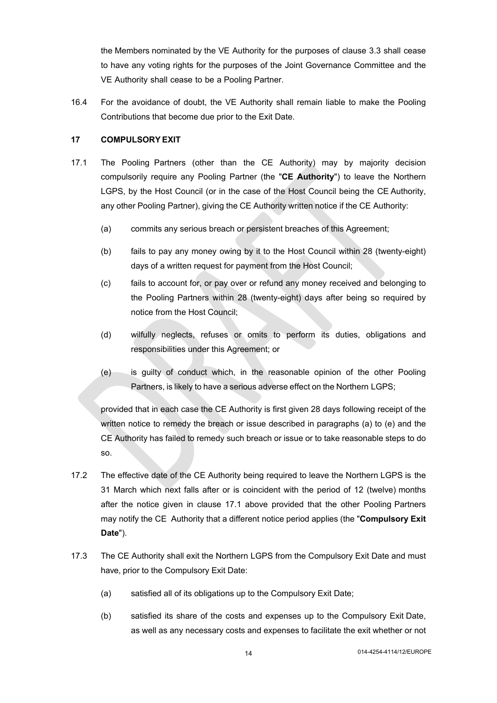the Members nominated by the VE Authority for the purposes of clause [3.3](#page-7-3) shall cease to have any voting rights for the purposes of the Joint Governance Committee and the VE Authority shall cease to be a Pooling Partner.

16.4 For the avoidance of doubt, the VE Authority shall remain liable to make the Pooling Contributions that become due prior to the Exit Date.

### <span id="page-13-1"></span><span id="page-13-0"></span>**17 COMPULSORY EXIT**

- <span id="page-13-2"></span>17.1 The Pooling Partners (other than the CE Authority) may by majority decision compulsorily require any Pooling Partner (the "**CE Authority**") to leave the Northern LGPS, by the Host Council (or in the case of the Host Council being the CE Authority, any other Pooling Partner), giving the CE Authority written notice if the CE Authority:
	- (a) commits any serious breach or persistent breaches of this Agreement;
	- (b) fails to pay any money owing by it to the Host Council within 28 (twenty-eight) days of a written request for payment from the Host Council;
	- (c) fails to account for, or pay over or refund any money received and belonging to the Pooling Partners within 28 (twenty-eight) days after being so required by notice from the Host Council;
	- (d) wilfully neglects, refuses or omits to perform its duties, obligations and responsibilities under this Agreement; or
	- (e) is guilty of conduct which, in the reasonable opinion of the other Pooling Partners, is likely to have a serious adverse effect on the Northern LGPS;

provided that in each case the CE Authority is first given 28 days following receipt of the written notice to remedy the breach or issue described in paragraphs (a) to (e) and the CE Authority has failed to remedy such breach or issue or to take reasonable steps to do so.

- 17.2 The effective date of the CE Authority being required to leave the Northern LGPS is the 31 March which next falls after or is coincident with the period of 12 (twelve) months after the notice given in clause [17.1](#page-13-2) above provided that the other Pooling Partners may notify the CE Authority that a different notice period applies (the "**Compulsory Exit Date**").
- 17.3 The CE Authority shall exit the Northern LGPS from the Compulsory Exit Date and must have, prior to the Compulsory Exit Date:
	- (a) satisfied all of its obligations up to the Compulsory Exit Date;
	- (b) satisfied its share of the costs and expenses up to the Compulsory Exit Date, as well as any necessary costs and expenses to facilitate the exit whether or not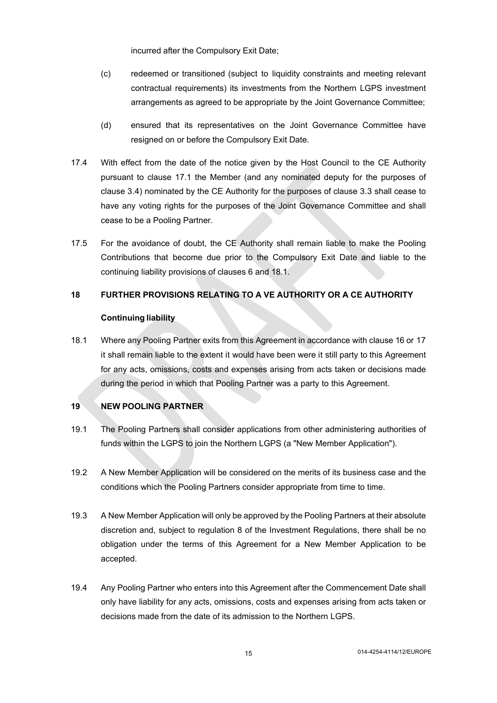incurred after the Compulsory Exit Date;

- (c) redeemed or transitioned (subject to liquidity constraints and meeting relevant contractual requirements) its investments from the Northern LGPS investment arrangements as agreed to be appropriate by the Joint Governance Committee;
- (d) ensured that its representatives on the Joint Governance Committee have resigned on or before the Compulsory Exit Date.
- 17.4 With effect from the date of the notice given by the Host Council to the CE Authority pursuant to clause [17.1](#page-13-2) [t](#page-13-2)he Member (and any nominated deputy for the purposes of clause [3.4](#page-7-7)) nominated by the CE Authority for the purposes of clause [3.3](#page-7-3) shall cease to have any voting rights for the purposes of the Joint Governance Committee and shall cease to be a Pooling Partner.
- 17.5 For the avoidance of doubt, the CE Authority shall remain liable to make the Pooling Contributions that become due prior to the Compulsory Exit Date and liable to the continuing liability provisions of clauses [6](#page-9-2) and [18.1](#page-14-4).

### <span id="page-14-3"></span>**18 FURTHER PROVISIONS RELATING TO A VE AUTHORITY OR A CE AUTHORITY**

#### <span id="page-14-0"></span>**Continuing liability**

<span id="page-14-4"></span>18.1 Where any Pooling Partner exits from this Agreement in accordance with clause [16](#page-12-3) or [17](#page-13-1) it shall remain liable to the extent it would have been were it still party to this Agreement for any acts, omissions, costs and expenses arising from acts taken or decisions made during the period in which that Pooling Partner was a party to this Agreement.

## <span id="page-14-2"></span><span id="page-14-1"></span>**19 NEW POOLING PARTNER**

- 19.1 The Pooling Partners shall consider applications from other administering authorities of funds within the LGPS to join the Northern LGPS (a "New Member Application").
- 19.2 A New Member Application will be considered on the merits of its business case and the conditions which the Pooling Partners consider appropriate from time to time.
- 19.3 A New Member Application will only be approved by the Pooling Partners at their absolute discretion and, subject to regulation 8 of the Investment Regulations, there shall be no obligation under the terms of this Agreement for a New Member Application to be accepted.
- 19.4 Any Pooling Partner who enters into this Agreement after the Commencement Date shall only have liability for any acts, omissions, costs and expenses arising from acts taken or decisions made from the date of its admission to the Northern LGPS.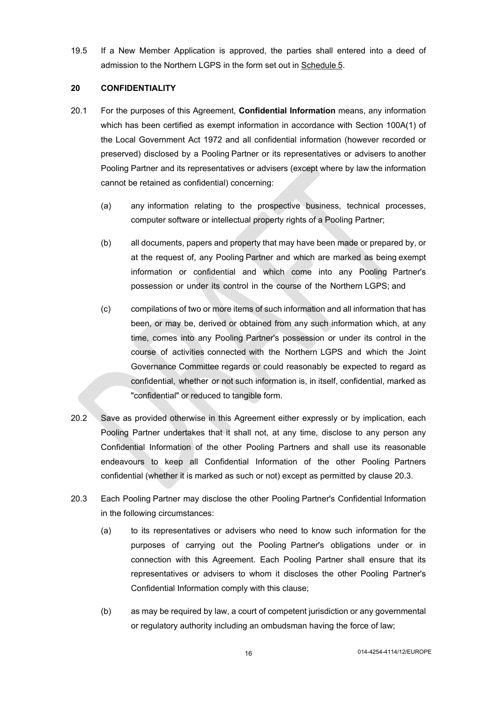19.5 If a New Member Application is approved, the parties shall entered into a deed of admission to the Northern LGPS in the form set out in [Schedule](#page-32-0) 5.

### <span id="page-15-1"></span><span id="page-15-0"></span>**20 CONFIDENTIALITY**

- 20.1 For the purposes of this Agreement, **Confidential Information** means, any information which has been certified as exempt information in accordance with Section 100A(1) of the Local Government Act 1972 and all confidential information (however recorded or preserved) disclosed by a Pooling Partner or its representatives or advisers to another Pooling Partner and its representatives or advisers (except where by law the information cannot be retained as confidential) concerning:
	- (a) any information relating to the prospective business, technical processes, computer software or intellectual property rights of a Pooling Partner;
	- (b) all documents, papers and property that may have been made or prepared by, or at the request of, any Pooling Partner and which are marked as being exempt information or confidential and which come into any Pooling Partner's possession or under its control in the course of the Northern LGPS; and
	- (c) compilations of two or more items of such information and all information that has been, or may be, derived or obtained from any such information which, at any time, comes into any Pooling Partner's possession or under its control in the course of activities connected with the Northern LGPS and which the Joint Governance Committee regards or could reasonably be expected to regard as confidential, whether or not such information is, in itself, confidential, marked as "confidential" or reduced to tangible form.
- 20.2 Save as provided otherwise in this Agreement either expressly or by implication, each Pooling Partner undertakes that it shall not, at any time, disclose to any person any Confidential Information of the other Pooling Partners and shall use its reasonable endeavours to keep all Confidential Information of the other Pooling Partners confidential (whether it is marked as such or not) except as permitted by clause [20.3](#page-15-2).
- <span id="page-15-2"></span>20.3 Each Pooling Partner may disclose the other Pooling Partner's Confidential Information in the following circumstances:
	- (a) to its representatives or advisers who need to know such information for the purposes of carrying out the Pooling Partner's obligations under or in connection with this Agreement. Each Pooling Partner shall ensure that its representatives or advisers to whom it discloses the other Pooling Partner's Confidential Information comply with this clause;
	- (b) as may be required by law, a court of competent jurisdiction or any governmental or regulatory authority including an ombudsman having the force of law;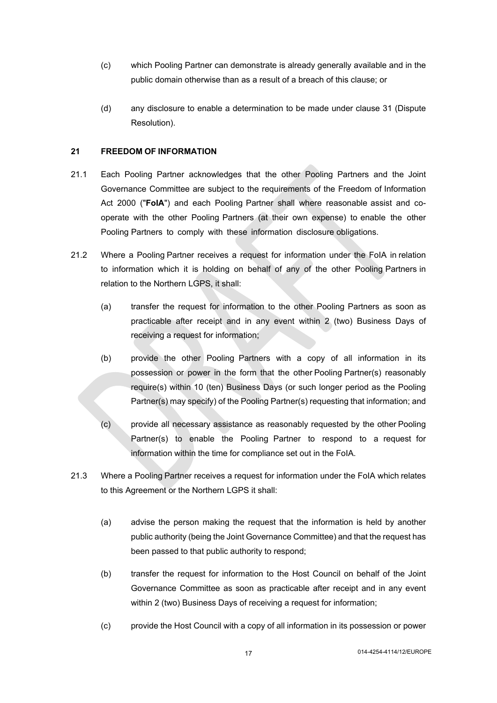- (c) which Pooling Partner can demonstrate is already generally available and in the public domain otherwise than as a result of a breach of this clause; or
- <span id="page-16-0"></span>(d) any disclosure to enable a determination to be made under clause [31](#page-19-4) (Dispute Resolution).

### **21 FREEDOM OF INFORMATION**

- 21.1 Each Pooling Partner acknowledges that the other Pooling Partners and the Joint Governance Committee are subject to the requirements of the Freedom of Information Act 2000 ("**FoIA**") and each Pooling Partner shall where reasonable assist and cooperate with the other Pooling Partners (at their own expense) to enable the other Pooling Partners to comply with these information disclosure obligations.
- 21.2 Where a Pooling Partner receives a request for information under the FoIA in relation to information which it is holding on behalf of any of the other Pooling Partners in relation to the Northern LGPS, it shall:
	- (a) transfer the request for information to the other Pooling Partners as soon as practicable after receipt and in any event within 2 (two) Business Days of receiving a request for information;
	- (b) provide the other Pooling Partners with a copy of all information in its possession or power in the form that the other Pooling Partner(s) reasonably require(s) within 10 (ten) Business Days (or such longer period as the Pooling Partner(s) may specify) of the Pooling Partner(s) requesting that information; and
	- (c) provide all necessary assistance as reasonably requested by the other Pooling Partner(s) to enable the Pooling Partner to respond to a request for information within the time for compliance set out in the FoIA.
- 21.3 Where a Pooling Partner receives a request for information under the FoIA which relates to this Agreement or the Northern LGPS it shall:
	- (a) advise the person making the request that the information is held by another public authority (being the Joint Governance Committee) and that the request has been passed to that public authority to respond;
	- (b) transfer the request for information to the Host Council on behalf of the Joint Governance Committee as soon as practicable after receipt and in any event within 2 (two) Business Days of receiving a request for information;
	- (c) provide the Host Council with a copy of all information in its possession or power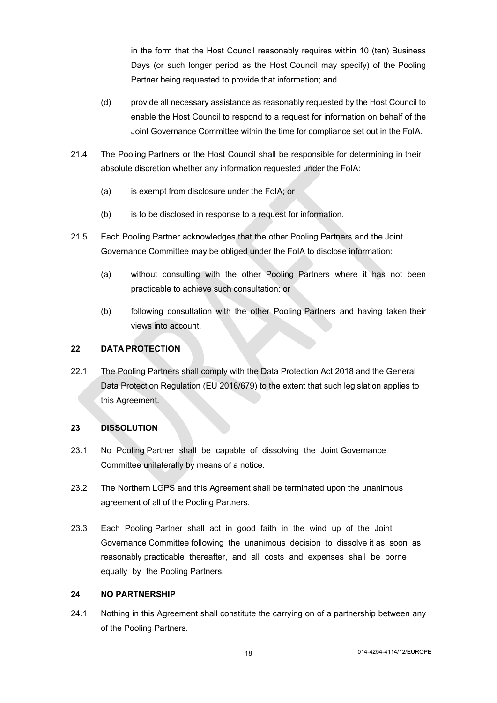in the form that the Host Council reasonably requires within 10 (ten) Business Days (or such longer period as the Host Council may specify) of the Pooling Partner being requested to provide that information; and

- (d) provide all necessary assistance as reasonably requested by the Host Council to enable the Host Council to respond to a request for information on behalf of the Joint Governance Committee within the time for compliance set out in the FoIA.
- 21.4 The Pooling Partners or the Host Council shall be responsible for determining in their absolute discretion whether any information requested under the FoIA:
	- (a) is exempt from disclosure under the FoIA; or
	- (b) is to be disclosed in response to a request for information.
- 21.5 Each Pooling Partner acknowledges that the other Pooling Partners and the Joint Governance Committee may be obliged under the FoIA to disclose information:
	- (a) without consulting with the other Pooling Partners where it has not been practicable to achieve such consultation; or
	- (b) following consultation with the other Pooling Partners and having taken their views into account.

## <span id="page-17-0"></span>**22 DATA PROTECTION**

22.1 The Pooling Partners shall comply with the Data Protection Act 2018 and the General Data Protection Regulation (EU 2016/679) to the extent that such legislation applies to this Agreement.

### <span id="page-17-3"></span><span id="page-17-1"></span>**23 DISSOLUTION**

- 23.1 No Pooling Partner shall be capable of dissolving the Joint Governance Committee unilaterally by means of a notice.
- 23.2 The Northern LGPS and this Agreement shall be terminated upon the unanimous agreement of all of the Pooling Partners.
- 23.3 Each Pooling Partner shall act in good faith in the wind up of the Joint Governance Committee following the unanimous decision to dissolve it as soon as reasonably practicable thereafter, and all costs and expenses shall be borne equally by the Pooling Partners.

### <span id="page-17-2"></span>**24 NO PARTNERSHIP**

24.1 Nothing in this Agreement shall constitute the carrying on of a partnership between any of the Pooling Partners.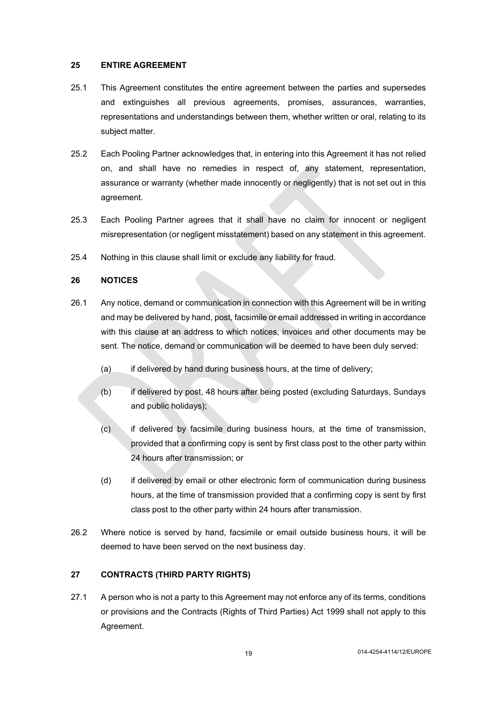#### <span id="page-18-0"></span>**25 ENTIRE AGREEMENT**

- 25.1 This Agreement constitutes the entire agreement between the parties and supersedes and extinguishes all previous agreements, promises, assurances, warranties, representations and understandings between them, whether written or oral, relating to its subject matter.
- 25.2 Each Pooling Partner acknowledges that, in entering into this Agreement it has not relied on, and shall have no remedies in respect of, any statement, representation, assurance or warranty (whether made innocently or negligently) that is not set out in this agreement.
- 25.3 Each Pooling Partner agrees that it shall have no claim for innocent or negligent misrepresentation (or negligent misstatement) based on any statement in this agreement.
- 25.4 Nothing in this clause shall limit or exclude any liability for fraud.

### <span id="page-18-1"></span>**26 NOTICES**

- 26.1 Any notice, demand or communication in connection with this Agreement will be in writing and may be delivered by hand, post, facsimile or email addressed in writing in accordance with this clause at an address to which notices, invoices and other documents may be sent. The notice, demand or communication will be deemed to have been duly served:
	- (a) if delivered by hand during business hours, at the time of delivery;
	- (b) if delivered by post, 48 hours after being posted (excluding Saturdays, Sundays and public holidays);
	- (c) if delivered by facsimile during business hours, at the time of transmission, provided that a confirming copy is sent by first class post to the other party within 24 hours after transmission; or
	- (d) if delivered by email or other electronic form of communication during business hours, at the time of transmission provided that a confirming copy is sent by first class post to the other party within 24 hours after transmission.
- 26.2 Where notice is served by hand, facsimile or email outside business hours, it will be deemed to have been served on the next business day.

### <span id="page-18-2"></span>**27 CONTRACTS (THIRD PARTY RIGHTS)**

27.1 A person who is not a party to this Agreement may not enforce any of its terms, conditions or provisions and the Contracts (Rights of Third Parties) Act 1999 shall not apply to this Agreement.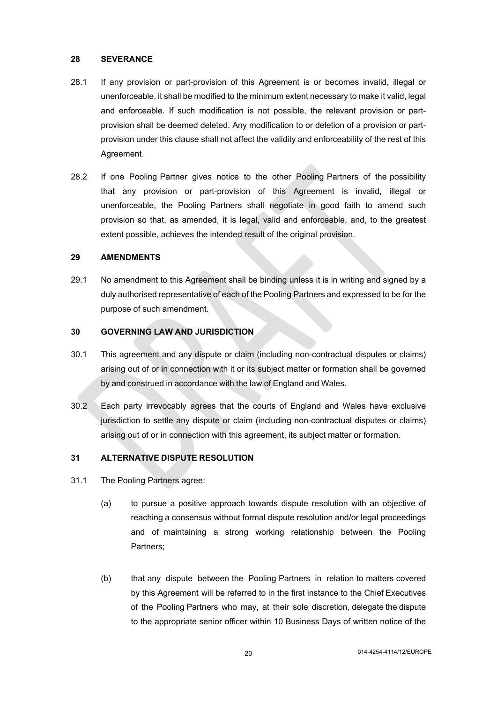### <span id="page-19-0"></span>**28 SEVERANCE**

- 28.1 If any provision or part-provision of this Agreement is or becomes invalid, illegal or unenforceable, it shall be modified to the minimum extent necessary to make it valid, legal and enforceable. If such modification is not possible, the relevant provision or partprovision shall be deemed deleted. Any modification to or deletion of a provision or partprovision under this clause shall not affect the validity and enforceability of the rest of this Agreement.
- 28.2 If one Pooling Partner gives notice to the other Pooling Partners of the possibility that any provision or part-provision of this Agreement is invalid, illegal or unenforceable, the Pooling Partners shall negotiate in good faith to amend such provision so that, as amended, it is legal, valid and enforceable, and, to the greatest extent possible, achieves the intended result of the original provision.

#### <span id="page-19-5"></span><span id="page-19-1"></span>**29 AMENDMENTS**

29.1 No amendment to this Agreement shall be binding unless it is in writing and signed by a duly authorised representative of each of the Pooling Partners and expressed to be for the purpose of such amendment.

#### <span id="page-19-2"></span>**30 GOVERNING LAW AND JURISDICTION**

- 30.1 This agreement and any dispute or claim (including non-contractual disputes or claims) arising out of or in connection with it or its subject matter or formation shall be governed by and construed in accordance with the law of England and Wales.
- 30.2 Each party irrevocably agrees that the courts of England and Wales have exclusive jurisdiction to settle any dispute or claim (including non-contractual disputes or claims) arising out of or in connection with this agreement, its subject matter or formation.

### <span id="page-19-4"></span><span id="page-19-3"></span>**31 ALTERNATIVE DISPUTE RESOLUTION**

- 31.1 The Pooling Partners agree:
	- (a) to pursue a positive approach towards dispute resolution with an objective of reaching a consensus without formal dispute resolution and/or legal proceedings and of maintaining a strong working relationship between the Pooling Partners;
	- (b) that any dispute between the Pooling Partners in relation to matters covered by this Agreement will be referred to in the first instance to the Chief Executives of the Pooling Partners who may, at their sole discretion, delegate the dispute to the appropriate senior officer within 10 Business Days of written notice of the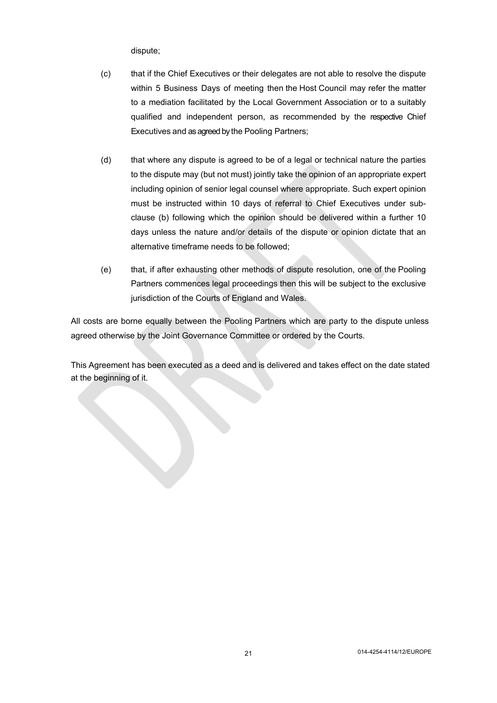dispute;

- (c) that if the Chief Executives or their delegates are not able to resolve the dispute within 5 Business Days of meeting then the Host Council may refer the matter to a mediation facilitated by the Local Government Association or to a suitably qualified and independent person, as recommended by the respective Chief Executives and as agreed by the Pooling Partners;
- (d) that where any dispute is agreed to be of a legal or technical nature the parties to the dispute may (but not must) jointly take the opinion of an appropriate expert including opinion of senior legal counsel where appropriate. Such expert opinion must be instructed within 10 days of referral to Chief Executives under subclause (b) following which the opinion should be delivered within a further 10 days unless the nature and/or details of the dispute or opinion dictate that an alternative timeframe needs to be followed;
- (e) that, if after exhausting other methods of dispute resolution, one of the Pooling Partners commences legal proceedings then this will be subject to the exclusive jurisdiction of the Courts of England and Wales.

All costs are borne equally between the Pooling Partners which are party to the dispute unless agreed otherwise by the Joint Governance Committee or ordered by the Courts.

This Agreement has been executed as a deed and is delivered and takes effect on the date stated at the beginning of it.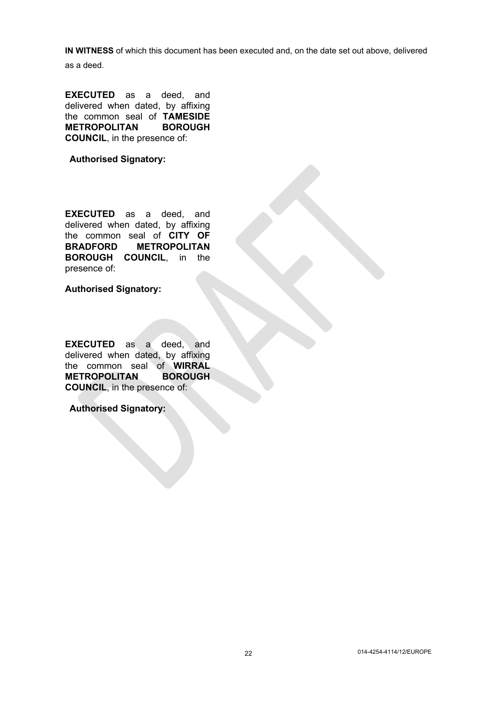**IN WITNESS** of which this document has been executed and, on the date set out above, delivered

as a deed.

**EXECUTED** as a deed, and delivered when dated, by affixing the common seal of **TAMESIDE METROPOLITAN BOROUGH COUNCIL**, in the presence of:

**Authorised Signatory:**

**EXECUTED** as a deed, and delivered when dated, by affixing the common seal of **CITY OF BRADFORD METROPOLITAN BOROUGH COUNCIL**, in the presence of:

**Authorised Signatory:**

**EXECUTED** as a deed, and delivered when dated, by affixing the common seal of **WIRRAL METROPOLITAN BOROUGH COUNCIL**, in the presence of:

**Authorised Signatory:**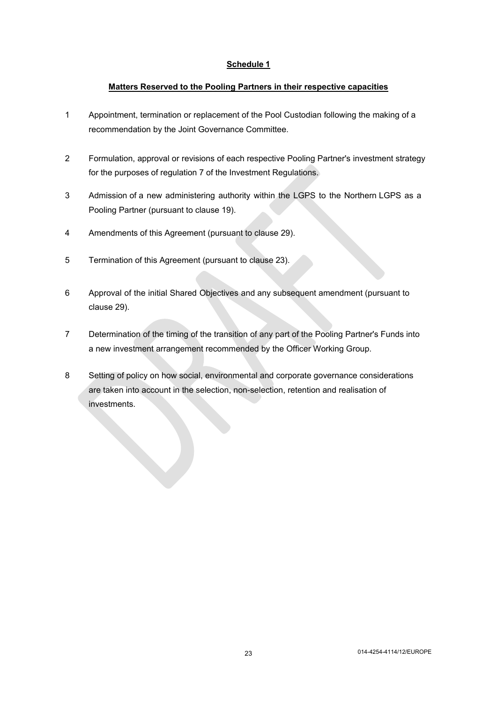### <span id="page-22-0"></span>**Matters Reserved to the Pooling Partners in their respective capacities**

- 1 Appointment, termination or replacement of the Pool Custodian following the making of a recommendation by the Joint Governance Committee.
- 2 Formulation, approval or revisions of each respective Pooling Partner's investment strategy for the purposes of regulation 7 of the Investment Regulations.
- 3 Admission of a new administering authority within the LGPS to the Northern LGPS as a Pooling Partner (pursuant to clause [19\)](#page-14-2).
- 4 Amendments of this Agreement (pursuant to clause [29\)](#page-19-5).
- 5 Termination of this Agreement (pursuant to clause [23](#page-17-3)).
- 6 Approval of the initial Shared Objectives and any subsequent amendment (pursuant to clause [29](#page-19-5)).
- 7 Determination of the timing of the transition of any part of the Pooling Partner's Funds into a new investment arrangement recommended by the Officer Working Group.
- 8 Setting of policy on how social, environmental and corporate governance considerations are taken into account in the selection, non-selection, retention and realisation of investments.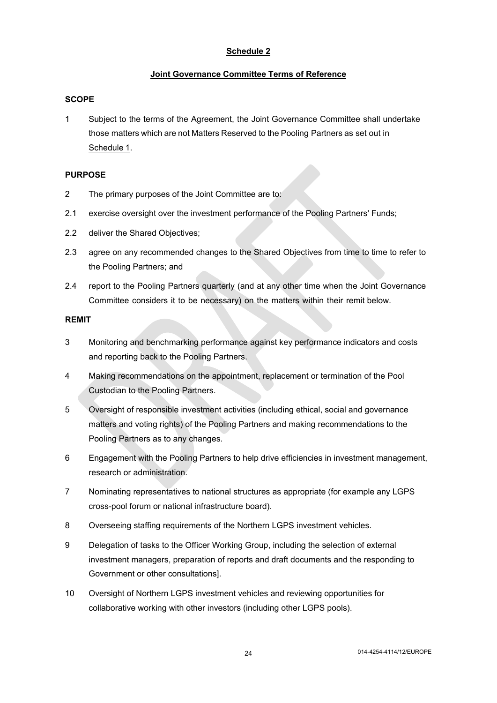### <span id="page-23-0"></span>**Joint Governance Committee Terms of Reference**

### **SCOPE**

1 Subject to the terms of the Agreement, the Joint Governance Committee shall undertake those matters which are not Matters Reserved to the Pooling Partners as set out in [Schedule](#page-22-0) 1.

### **PURPOSE**

- 2 The primary purposes of the Joint Committee are to:
- 2.1 exercise oversight over the investment performance of the Pooling Partners' Funds;
- 2.2 deliver the Shared Objectives;
- 2.3 agree on any recommended changes to the Shared Objectives from time to time to refer to the Pooling Partners; and
- 2.4 report to the Pooling Partners quarterly (and at any other time when the Joint Governance Committee considers it to be necessary) on the matters within their remit below.

### **REMIT**

- 3 Monitoring and benchmarking performance against key performance indicators and costs and reporting back to the Pooling Partners.
- 4 Making recommendations on the appointment, replacement or termination of the Pool Custodian to the Pooling Partners.
- 5 Oversight of responsible investment activities (including ethical, social and governance matters and voting rights) of the Pooling Partners and making recommendations to the Pooling Partners as to any changes.
- 6 Engagement with the Pooling Partners to help drive efficiencies in investment management, research or administration.
- 7 Nominating representatives to national structures as appropriate (for example any LGPS cross-pool forum or national infrastructure board).
- 8 Overseeing staffing requirements of the Northern LGPS investment vehicles.
- 9 Delegation of tasks to the Officer Working Group, including the selection of external investment managers, preparation of reports and draft documents and the responding to Government or other consultations].
- 10 Oversight of Northern LGPS investment vehicles and reviewing opportunities for collaborative working with other investors (including other LGPS pools).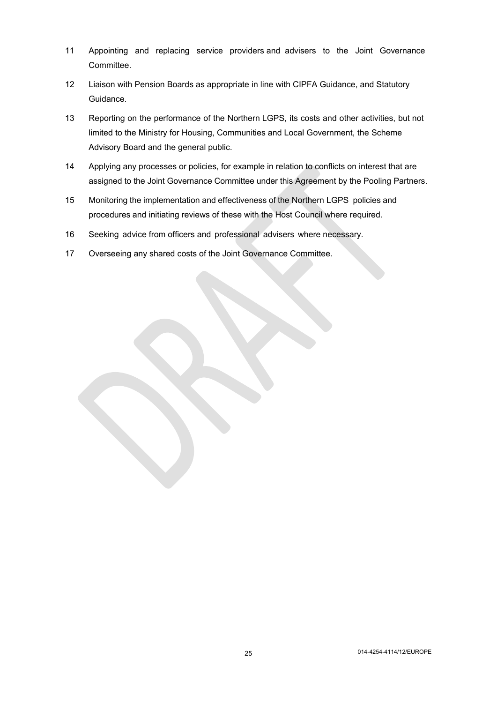- 11 Appointing and replacing service providers and advisers to the Joint Governance Committee.
- 12 Liaison with Pension Boards as appropriate in line with CIPFA Guidance, and Statutory Guidance.
- <span id="page-24-0"></span>13 Reporting on the performance of the Northern LGPS, its costs and other activities, but not limited to the Ministry for Housing, Communities and Local Government, the Scheme Advisory Board and the general public.
- 14 Applying any processes or policies, for example in relation to conflicts on interest that are assigned to the Joint Governance Committee under this Agreement by the Pooling Partners.
- 15 Monitoring the implementation and effectiveness of the Northern LGPS policies and procedures and initiating reviews of these with the Host Council where required.
- 16 Seeking advice from officers and professional advisers where necessary.
- 17 Overseeing any shared costs of the Joint Governance Committee.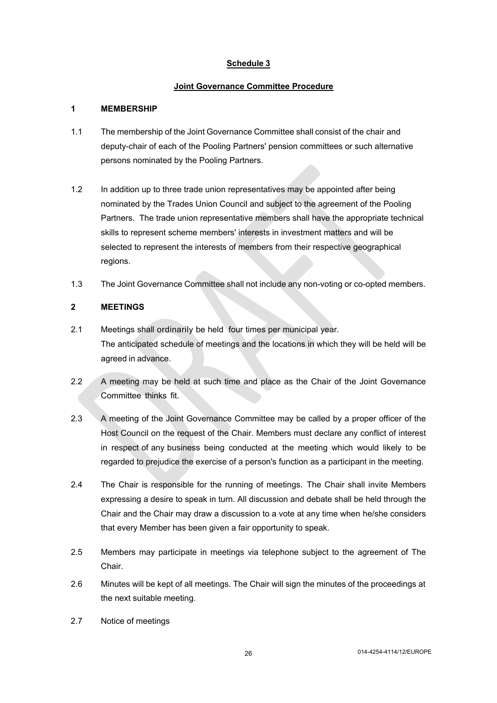## <span id="page-25-0"></span>**Joint Governance Committee Procedure**

### **1 MEMBERSHIP**

- 1.1 The membership of the Joint Governance Committee shall consist of the chair and deputy-chair of each of the Pooling Partners' pension committees or such alternative persons nominated by the Pooling Partners.
- 1.2 In addition up to three trade union representatives may be appointed after being nominated by the Trades Union Council and subject to the agreement of the Pooling Partners. The trade union representative members shall have the appropriate technical skills to represent scheme members' interests in investment matters and will be selected to represent the interests of members from their respective geographical regions.
- 1.3 The Joint Governance Committee shall not include any non-voting or co-opted members.

## **2 MEETINGS**

- 2.1 Meetings shall ordinarily be held four times per municipal year. The anticipated schedule of meetings and the locations in which they will be held will be agreed in advance.
- 2.2 A meeting may be held at such time and place as the Chair of the Joint Governance Committee thinks fit.
- 2.3 A meeting of the Joint Governance Committee may be called by a proper officer of the Host Council on the request of the Chair. Members must declare any conflict of interest in respect of any business being conducted at the meeting which would likely to be regarded to prejudice the exercise of a person's function as a participant in the meeting.
- 2.4 The Chair is responsible for the running of meetings. The Chair shall invite Members expressing a desire to speak in turn. All discussion and debate shall be held through the Chair and the Chair may draw a discussion to a vote at any time when he/she considers that every Member has been given a fair opportunity to speak.
- 2.5 Members may participate in meetings via telephone subject to the agreement of The Chair.
- 2.6 Minutes will be kept of all meetings. The Chair will sign the minutes of the proceedings at the next suitable meeting.
- <span id="page-25-1"></span>2.7 Notice of meetings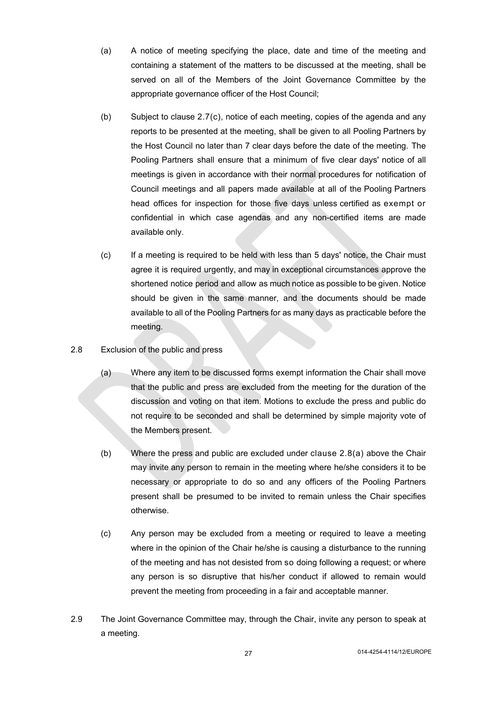- (a) A notice of meeting specifying the place, date and time of the meeting and containing a statement of the matters to be discussed at the meeting, shall be served on all of the Members of the Joint Governance Committee by the appropriate governance officer of the Host Council;
- (b) Subject to clause [2.7](#page-25-1)[\(c\),](#page-26-0) notice of each meeting, copies of the agenda and any reports to be presented at the meeting, shall be given to all Pooling Partners by the Host Council no later than 7 clear days before the date of the meeting. The Pooling Partners shall ensure that a minimum of five clear days' notice of all meetings is given in accordance with their normal procedures for notification of Council meetings and all papers made available at all of the Pooling Partners head offices for inspection for those five days unless certified as exempt or confidential in which case agendas and any non-certified items are made available only.
- <span id="page-26-0"></span>(c) If a meeting is required to be held with less than 5 days' notice, the Chair must agree it is required urgently, and may in exceptional circumstances approve the shortened notice period and allow as much notice as possible to be given. Notice should be given in the same manner, and the documents should be made available to all of the Pooling Partners for as many days as practicable before the meeting.

## <span id="page-26-1"></span>2.8 Exclusion of the public and press

- <span id="page-26-2"></span>(a) Where any item to be discussed forms exempt information the Chair shall move that the public and press are excluded from the meeting for the duration of the discussion and voting on that item. Motions to exclude the press and public do not require to be seconded and shall be determined by simple majority vote of the Members present.
- (b) Where the press and public are excluded under clause [2.8](#page-26-1)[\(a\)](#page-26-2) above the Chair may invite any person to remain in the meeting where he/she considers it to be necessary or appropriate to do so and any officers of the Pooling Partners present shall be presumed to be invited to remain unless the Chair specifies otherwise.
- (c) Any person may be excluded from a meeting or required to leave a meeting where in the opinion of the Chair he/she is causing a disturbance to the running of the meeting and has not desisted from so doing following a request; or where any person is so disruptive that his/her conduct if allowed to remain would prevent the meeting from proceeding in a fair and acceptable manner.
- 2.9 The Joint Governance Committee may, through the Chair, invite any person to speak at a meeting.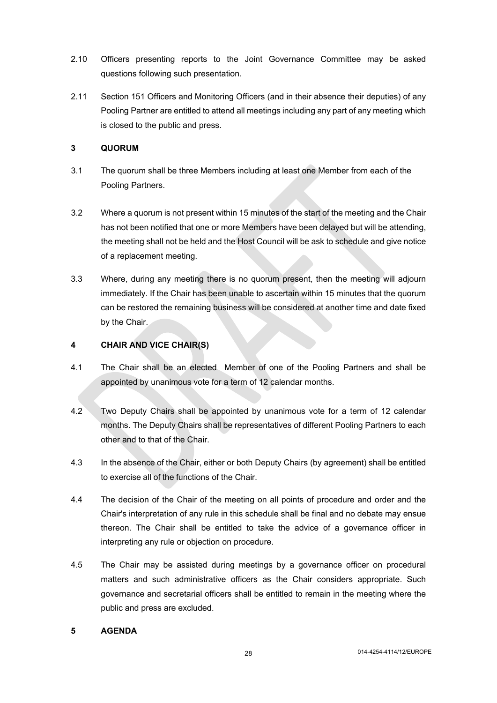- 2.10 Officers presenting reports to the Joint Governance Committee may be asked questions following such presentation.
- 2.11 Section 151 Officers and Monitoring Officers (and in their absence their deputies) of any Pooling Partner are entitled to attend all meetings including any part of any meeting which is closed to the public and press.

### **3 QUORUM**

- 3.1 The quorum shall be three Members including at least one Member from each of the Pooling Partners.
- 3.2 Where a quorum is not present within 15 minutes of the start of the meeting and the Chair has not been notified that one or more Members have been delayed but will be attending, the meeting shall not be held and the Host Council will be ask to schedule and give notice of a replacement meeting.
- 3.3 Where, during any meeting there is no quorum present, then the meeting will adjourn immediately. If the Chair has been unable to ascertain within 15 minutes that the quorum can be restored the remaining business will be considered at another time and date fixed by the Chair.

## **4 CHAIR AND VICE CHAIR(S)**

- 4.1 The Chair shall be an elected Member of one of the Pooling Partners and shall be appointed by unanimous vote for a term of 12 calendar months.
- 4.2 Two Deputy Chairs shall be appointed by unanimous vote for a term of 12 calendar months. The Deputy Chairs shall be representatives of different Pooling Partners to each other and to that of the Chair.
- 4.3 In the absence of the Chair, either or both Deputy Chairs (by agreement) shall be entitled to exercise all of the functions of the Chair.
- 4.4 The decision of the Chair of the meeting on all points of procedure and order and the Chair's interpretation of any rule in this schedule shall be final and no debate may ensue thereon. The Chair shall be entitled to take the advice of a governance officer in interpreting any rule or objection on procedure.
- 4.5 The Chair may be assisted during meetings by a governance officer on procedural matters and such administrative officers as the Chair considers appropriate. Such governance and secretarial officers shall be entitled to remain in the meeting where the public and press are excluded.

### **5 AGENDA**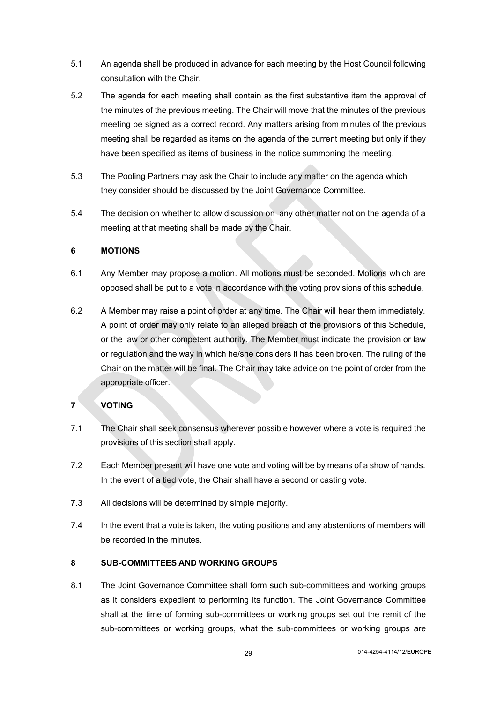- 5.1 An agenda shall be produced in advance for each meeting by the Host Council following consultation with the Chair.
- 5.2 The agenda for each meeting shall contain as the first substantive item the approval of the minutes of the previous meeting. The Chair will move that the minutes of the previous meeting be signed as a correct record. Any matters arising from minutes of the previous meeting shall be regarded as items on the agenda of the current meeting but only if they have been specified as items of business in the notice summoning the meeting.
- 5.3 The Pooling Partners may ask the Chair to include any matter on the agenda which they consider should be discussed by the Joint Governance Committee.
- 5.4 The decision on whether to allow discussion on any other matter not on the agenda of a meeting at that meeting shall be made by the Chair.

### **6 MOTIONS**

- 6.1 Any Member may propose a motion. All motions must be seconded. Motions which are opposed shall be put to a vote in accordance with the voting provisions of this schedule.
- 6.2 A Member may raise a point of order at any time. The Chair will hear them immediately. A point of order may only relate to an alleged breach of the provisions of this Schedule, or the law or other competent authority. The Member must indicate the provision or law or regulation and the way in which he/she considers it has been broken. The ruling of the Chair on the matter will be final. The Chair may take advice on the point of order from the appropriate officer.

# **7 VOTING**

- 7.1 The Chair shall seek consensus wherever possible however where a vote is required the provisions of this section shall apply.
- 7.2 Each Member present will have one vote and voting will be by means of a show of hands. In the event of a tied vote, the Chair shall have a second or casting vote.
- 7.3 All decisions will be determined by simple majority.
- 7.4 In the event that a vote is taken, the voting positions and any abstentions of members will be recorded in the minutes.

### **8 SUB-COMMITTEES AND WORKING GROUPS**

8.1 The Joint Governance Committee shall form such sub-committees and working groups as it considers expedient to performing its function. The Joint Governance Committee shall at the time of forming sub-committees or working groups set out the remit of the sub-committees or working groups, what the sub-committees or working groups are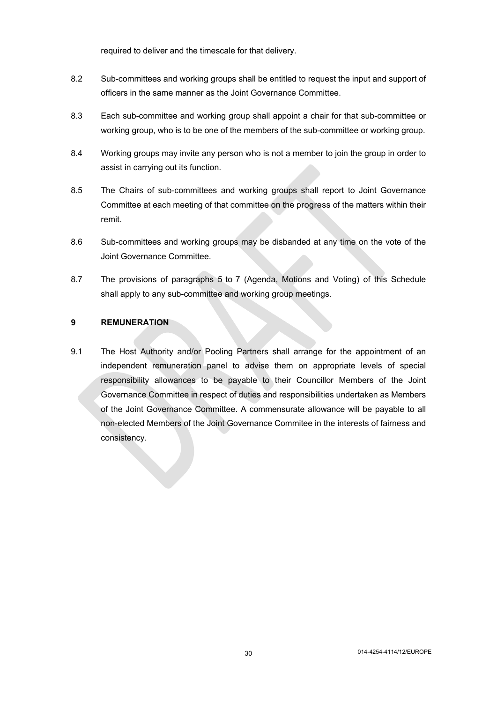required to deliver and the timescale for that delivery.

- 8.2 Sub-committees and working groups shall be entitled to request the input and support of officers in the same manner as the Joint Governance Committee.
- 8.3 Each sub-committee and working group shall appoint a chair for that sub-committee or working group, who is to be one of the members of the sub-committee or working group.
- 8.4 Working groups may invite any person who is not a member to join the group in order to assist in carrying out its function.
- 8.5 The Chairs of sub-committees and working groups shall report to Joint Governance Committee at each meeting of that committee on the progress of the matters within their remit.
- 8.6 Sub-committees and working groups may be disbanded at any time on the vote of the Joint Governance Committee.
- 8.7 The provisions of paragraphs 5 to 7 (Agenda, Motions and Voting) of this Schedule shall apply to any sub-committee and working group meetings.

### **9 REMUNERATION**

9.1 The Host Authority and/or Pooling Partners shall arrange for the appointment of an independent remuneration panel to advise them on appropriate levels of special responsibility allowances to be payable to their Councillor Members of the Joint Governance Committee in respect of duties and responsibilities undertaken as Members of the Joint Governance Committee. A commensurate allowance will be payable to all non-elected Members of the Joint Governance Commitee in the interests of fairness and consistency.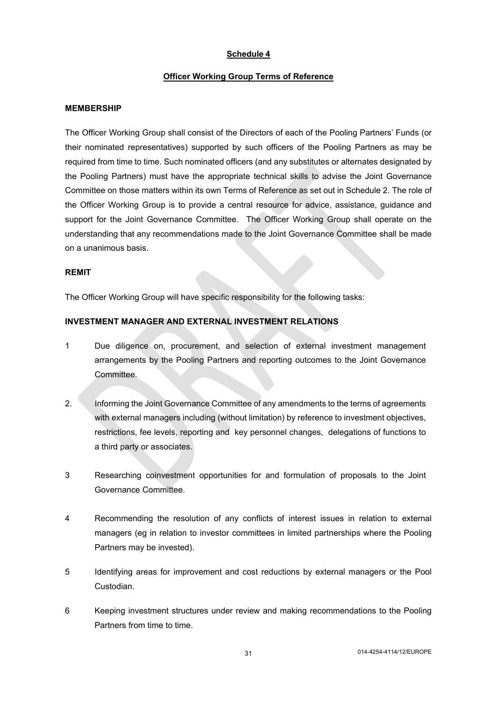#### <span id="page-30-0"></span>**Officer Working Group Terms of Reference**

#### **MEMBERSHIP**

The Officer Working Group shall consist of the Directors of each of the Pooling Partners' Funds (or their nominated representatives) supported by such officers of the Pooling Partners as may be required from time to time. Such nominated officers (and any substitutes or alternates designated by the Pooling Partners) must have the appropriate technical skills to advise the Joint Governance Committee on those matters within its own Terms of Reference as set out in Schedule 2. The role of the Officer Working Group is to provide a central resource for advice, assistance, guidance and support for the Joint Governance Committee. The Officer Working Group shall operate on the understanding that any recommendations made to the Joint Governance Committee shall be made on a unanimous basis.

#### **REMIT**

The Officer Working Group will have specific responsibility for the following tasks:

### **INVESTMENT MANAGER AND EXTERNAL INVESTMENT RELATIONS**

- 1 Due diligence on, procurement, and selection of external investment management arrangements by the Pooling Partners and reporting outcomes to the Joint Governance Committee.
- 2. Informing the Joint Governance Committee of any amendments to the terms of agreements with external managers including (without limitation) by reference to investment objectives, restrictions, fee levels, reporting and key personnel changes, delegations of functions to a third party or associates.
- 3 Researching coinvestment opportunities for and formulation of proposals to the Joint Governance Committee.
- 4 Recommending the resolution of any conflicts of interest issues in relation to external managers (eg in relation to investor committees in limited partnerships where the Pooling Partners may be invested).
- 5 Identifying areas for improvement and cost reductions by external managers or the Pool Custodian.
- 6 Keeping investment structures under review and making recommendations to the Pooling Partners from time to time.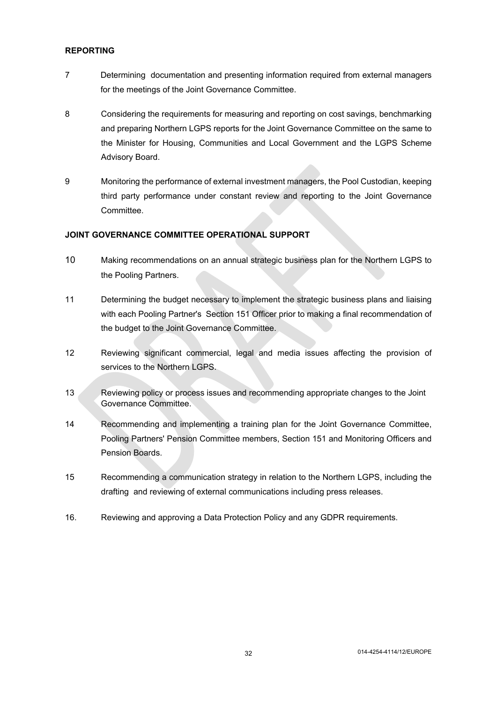#### **REPORTING**

- 7 Determining documentation and presenting information required from external managers for the meetings of the Joint Governance Committee.
- 8 Considering the requirements for measuring and reporting on cost savings, benchmarking and preparing Northern LGPS reports for the Joint Governance Committee on the same to the Minister for Housing, Communities and Local Government and the LGPS Scheme Advisory Board.
- 9 Monitoring the performance of external investment managers, the Pool Custodian, keeping third party performance under constant review and reporting to the Joint Governance Committee.

### **JOINT GOVERNANCE COMMITTEE OPERATIONAL SUPPORT**

- 10 Making recommendations on an annual strategic business plan for the Northern LGPS to the Pooling Partners.
- 11 Determining the budget necessary to implement the strategic business plans and liaising with each Pooling Partner's Section 151 Officer prior to making a final recommendation of the budget to the Joint Governance Committee.
- 12 Reviewing significant commercial, legal and media issues affecting the provision of services to the Northern LGPS.
- 13 Reviewing policy or process issues and recommending appropriate changes to the Joint Governance Committee.
- 14 Recommending and implementing a training plan for the Joint Governance Committee, Pooling Partners' Pension Committee members, Section 151 and Monitoring Officers and Pension Boards.
- 15 Recommending a communication strategy in relation to the Northern LGPS, including the drafting and reviewing of external communications including press releases.
- 16. Reviewing and approving a Data Protection Policy and any GDPR requirements.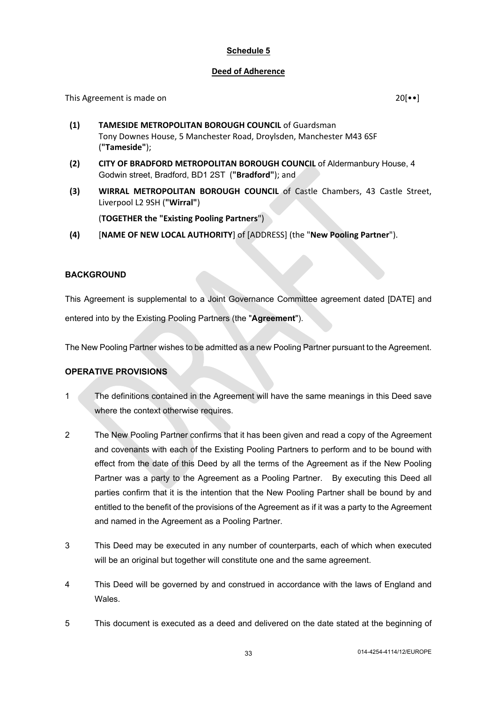### <span id="page-32-0"></span>**Deed of Adherence**

This Agreement is made on 20<sup>[••]</sup>

- **(1) TAMESIDE METROPOLITAN BOROUGH COUNCIL** of Guardsman Tony Downes House, 5 Manchester Road, Droylsden, Manchester M43 6SF (**"Tameside"**);
- **(2) CITY OF BRADFORD METROPOLITAN BOROUGH COUNCIL** of Aldermanbury House, 4 Godwin street, Bradford, BD1 2ST (**"Bradford"**); and
- **(3) WIRRAL METROPOLITAN BOROUGH COUNCIL** of Castle Chambers, 43 Castle Street, Liverpool L2 9SH (**"Wirral"**)

(**TOGETHER the "Existing Pooling Partners**")

**(4)** [**NAME OF NEW LOCAL AUTHORITY**] of [ADDRESS] (the "**New Pooling Partner**").

### **BACKGROUND**

This Agreement is supplemental to a Joint Governance Committee agreement dated [DATE] and entered into by the Existing Pooling Partners (the "**Agreement**").

The New Pooling Partner wishes to be admitted as a new Pooling Partner pursuant to the Agreement.

### **OPERATIVE PROVISIONS**

- 1 The definitions contained in the Agreement will have the same meanings in this Deed save where the context otherwise requires.
- 2 The New Pooling Partner confirms that it has been given and read a copy of the Agreement and covenants with each of the Existing Pooling Partners to perform and to be bound with effect from the date of this Deed by all the terms of the Agreement as if the New Pooling Partner was a party to the Agreement as a Pooling Partner. By executing this Deed all parties confirm that it is the intention that the New Pooling Partner shall be bound by and entitled to the benefit of the provisions of the Agreement as if it was a party to the Agreement and named in the Agreement as a Pooling Partner.
- 3 This Deed may be executed in any number of counterparts, each of which when executed will be an original but together will constitute one and the same agreement.
- 4 This Deed will be governed by and construed in accordance with the laws of England and Wales.
- 5 This document is executed as a deed and delivered on the date stated at the beginning of